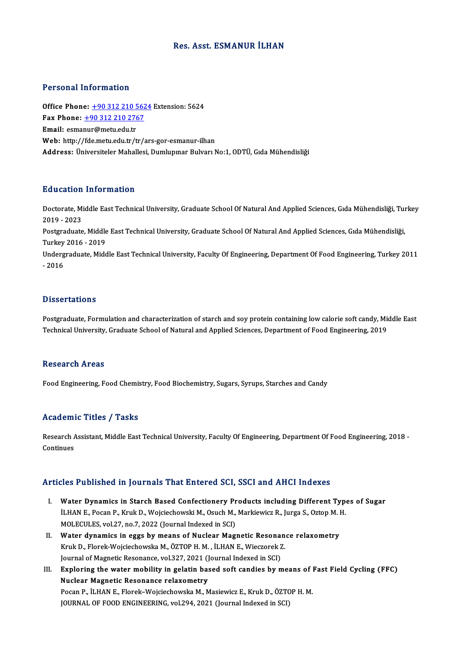# Res. Asst. ESMANUR İLHAN

## Personal Information

**Personal Information<br>Office Phone: +90 312 210 5624 Extension: 5624**<br>Fax Phone: 190 312 210 2767 Fax Phone: <u>+90 312 210 562</u><br>Fax Phone: <u>+90 312 210 2767</u><br>Fmail: esmanur@metu.edu.tr Office Phone: <u>+90 312 210 5</u><br>Fax Phone: <u>+90 312 210 276</u><br>Email: esma[nur@metu.edu.tr](tel:+90 312 210 2767)<br>Web: http://fdo.metu.edu.tr Fax Phone:  $\pm$ 90 312 210 2767<br>Email: esmanur@metu.edu.tr<br>Web: http://fde.metu.edu.tr/tr/ars-gor-esmanur-ilhan Address: Üniversiteler Mahallesi, Dumlupınar Bulvarı No:1, ODTÜ, Gıda Mühendisliği

# Education Information

**Education Information**<br>Doctorate, Middle East Technical University, Graduate School Of Natural And Applied Sciences, Gıda Mühendisliği, Turkey<br>2019 - 2022 2010 decembri<br>2019 - 2023<br>Postareduate Doctorate, Middle East Technical University, Graduate School Of Natural And Applied Sciences, Gıda Mühendisliği, Tui<br>2019 - 2023<br>Postgraduate, Middle East Technical University, Graduate School Of Natural And Applied Scienc 2019 - 2023<br>Postgraduate, Middle East Technical University, Graduate School Of Natural And Applied Sciences, Gıda Mühendisliği, Turkey 2016 - 2019

Undergraduate, Middle East Technical University, Faculty Of Engineering, Department Of Food Engineering, Turkey 2011<br>- 2016

### **Dissertations**

Postgraduate, Formulation and characterization of starch and soy protein containing low calorie soft candy, Middle East Technical University, Graduate School of Natural and Applied Sciences, Department of Food Engineering, 2019

#### Research Areas

Food Engineering, Food Chemistry, Food Biochemistry, Sugars, Syrups, Starches and Candy

#### Academic Titles / Tasks

Academic Titles / Tasks<br>Research Assistant, Middle East Technical University, Faculty Of Engineering, Department Of Food Engineering, 2018 -<br>Centinues Research A<br>Continues

# Articles Published in Journals That Entered SCI, SSCI and AHCI Indexes

- rticles Published in Journals That Entered SCI, SSCI and AHCI Indexes<br>I. Water Dynamics in Starch Based Confectionery Products including Different Types of Sugar<br>II HAN E. Pesan B. Kuuk D. Weisischewski M. Osush M. Markiew ILED 1 deficined in Journale That Enter od Self (Self and Three Indented<br>Water Dynamics in Starch Based Confectionery Products including Different Type<br>LHAN E., Pocan P., Kruk D., Wojciechowski M., Osuch M., Markiewicz R., Water Dynamics in Starch Based Confectionery Pr<br>İLHAN E., Pocan P., Kruk D., Wojciechowski M., Osuch M.,<br>MOLECULES, vol.27, no.7, 2022 (Journal Indexed in SCI)<br>Water dynamics in eggs by means of Nuclear Mag ILHAN E., Pocan P., Kruk D., Wojciechowski M., Osuch M., Markiewicz R., Jurga S., Oztop M. I<br>MOLECULES, vol.27, no.7, 2022 (Journal Indexed in SCI)<br>II. Water dynamics in eggs by means of Nuclear Magnetic Resonance relaxome
- MOLECULES, vol.27, no.7, 2022 (Journal Indexed in SCI)<br>Water dynamics in eggs by means of Nuclear Magnetic Resonan<br>Kruk D., Florek-Wojciechowska M., ÖZTOP H. M. , İLHAN E., Wieczorek Z.<br>Journal of Magnetic Besenance vol.22 Water dynamics in eggs by means of Nuclear Magnetic Resonal<br>Kruk D., Florek-Wojciechowska M., ÖZTOP H. M. , İLHAN E., Wieczorek 2<br>Journal of Magnetic Resonance, vol.327, 2021 (Journal Indexed in SCI)<br>Evnloring the water mo Kruk D., Florek-Wojciechowska M., ÖZTOP H. M. , İLHAN E., Wieczorek Z.<br>Journal of Magnetic Resonance, vol.327, 2021 (Journal Indexed in SCI)<br>III. Exploring the water mobility in gelatin based soft candies by means of Fast
- Journal of Magnetic Resonance, vol.327, 2021 (J)<br>Exploring the water mobility in gelatin bas<br>Nuclear Magnetic Resonance relaxometry<br>Pegan B, it HANE, Elenek Weisischeugka M, M Exploring the water mobility in gelatin based soft candies by means of l<br>Nuclear Magnetic Resonance relaxometry<br>Pocan P., İLHAN E., Florek–Wojciechowska M., Masiewicz E., Kruk D., ÖZTOP H. M.<br>JOUPMAL OF FOOD ENCINEERING va Nuclear Magnetic Resonance relaxometry<br>Pocan P., İLHAN E., Florek–Wojciechowska M., Masiewicz E., Kruk D., ÖZTOP H. M.<br>JOURNAL OF FOOD ENGINEERING, vol.294, 2021 (Journal Indexed in SCI)